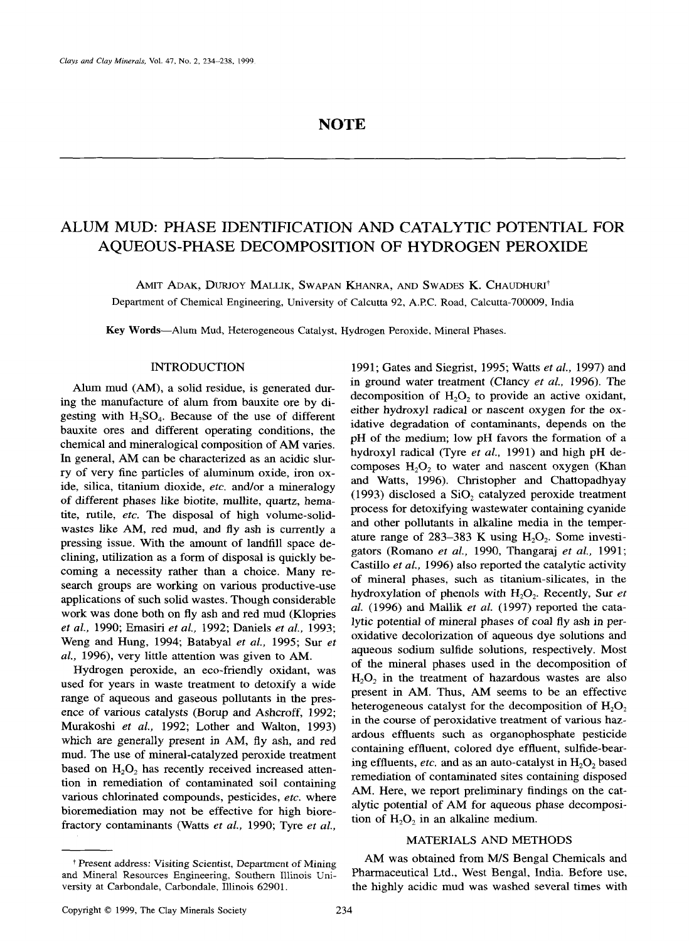# **NOTE**

# **ALUM MUD: PHASE IDENTIFICATION AND CATALYTIC POTENTIAL FOR AQUEOUS-PHASE DECOMPOSITION OF HYDROGEN PEROXIDE**

AMIT ADAK, DURJOY MALLIK, SWAPAN KHANRA, AND SWADES K. CHAUDHURI<sup>†</sup> Department of Chemical Engineering, University of Calcutta 92, A.P.C. Road, Calcutta-700009, India

**Key** Words--Alum Mud, Heterogeneous Catalyst, Hydrogen Peroxide, Mineral Phases.

#### INTRODUCTION

Alum mud (AM), a solid residue, is generated during the manufacture of alum from bauxite ore by digesting with  $H_2SO_4$ . Because of the use of different bauxite ores and different operating conditions, the chemical and mineralogical composition of AM varies. In general, AM can be characterized as an acidic slurry of very fine particles of aluminum oxide, iron oxide, silica, titanium dioxide, *etc.* and/or a mineralogy of different phases like biotite, mullite, quartz, hematite, futile, *etc.* The disposal of high volume-solidwastes like AM, red mud, and fly ash is currently a pressing issue. With the amount of landfill space declining, utilization as a form of disposal is quickly becoming a necessity rather than a choice. Many research groups are working on various productive-use applications of such solid wastes. Though considerable work was done both on fly ash and red mud (Klopries *et al.,* 1990; Emasiri *et al.,* 1992; Daniels *et al.,* 1993; Weng and Hung, 1994; Batabyal *et al.,* 1995; Sur *et al.,* 1996), very little attention was given to AM.

Hydrogen peroxide, an eco-friendly oxidant, was used for years in waste treatment to detoxify a wide range of aqueous and gaseous pollutants in the presence of various catalysts (Borup and Ashcroff, 1992; Murakoshi *et al.,* 1992; Lother and Walton, 1993) which are generally present in AM, fly ash, and red mud. The use of mineral-catalyzed peroxide treatment based on  $H_2O_2$  has recently received increased attention in remediation of contaminated soil containing various chlorinated compounds, pesticides, *etc.* where bioremediation may not be effective for high biorefractory contaminants (Watts *et al.,* 1990; Tyre *et al.,* 

1991; Gates and Siegrist, 1995; Watts *et al.,* 1997) and in ground water treatment (Clancy *et al.,* 1996). The decomposition of  $H_2O_2$  to provide an active oxidant, either hydroxyl radical or nascent oxygen for the oxidative degradation of contaminants, depends on the pH of the medium; low pH favors the formation of a hydroxyl radical (Tyre *et al.,* 1991) and high pH decomposes  $H_2O_2$  to water and nascent oxygen (Khan and Watts, 1996). Christopher and Chattopadhyay (1993) disclosed a  $SiO<sub>2</sub>$  catalyzed peroxide treatment process for detoxifying wastewater containing cyanide and other pollutants in alkaline media in the temperature range of  $283-383$  K using  $H_2O_2$ . Some investigators (Romano *et al.,* 1990, Thangaraj *et al.,* 1991; Castillo *et aL,* 1996) also reported the catalytic activity of mineral phases, such as titanium-silicates, in the hydroxylation of phenols with H<sub>2</sub>O<sub>2</sub>. Recently, Sur *et aL* (1996) and Mailik *et aL* (1997) reported the catalytic potential of mineral phases of coal fly ash in peroxidative decolorization of aqueous dye solutions and aqueous sodium sulfide solutions, respectively. Most of the mineral phases used in the decomposition of  $H<sub>2</sub>O<sub>2</sub>$  in the treatment of hazardous wastes are also present in AM. Thus, AM seems to be an effective heterogeneous catalyst for the decomposition of  $H_2O_2$ in the course of peroxidative treatment of various hazardous effluents such as organophosphate pesticide containing effluent, colored dye effluent, sulfide-bearing effluents, *etc.* and as an auto-catalyst in H<sub>2</sub>O<sub>2</sub> based remediation of contaminated sites containing disposed AM. Here, we report preliminary findings on the catalytic potential of AM for aqueous phase decomposition of  $H_2O_2$  in an alkaline medium.

#### MATERIALS AND METHODS

AM was obtained from M/S Bengal Chemicals and Pharmaceutical Ltd., West Bengal, India. Before use, the highly acidic mud was washed several times with

t Present address: Visiting Scientist, Department of Mining and Mineral Resources Engineering, Southern Illinois University at Carbondale, Carbondale, Illinois 62901.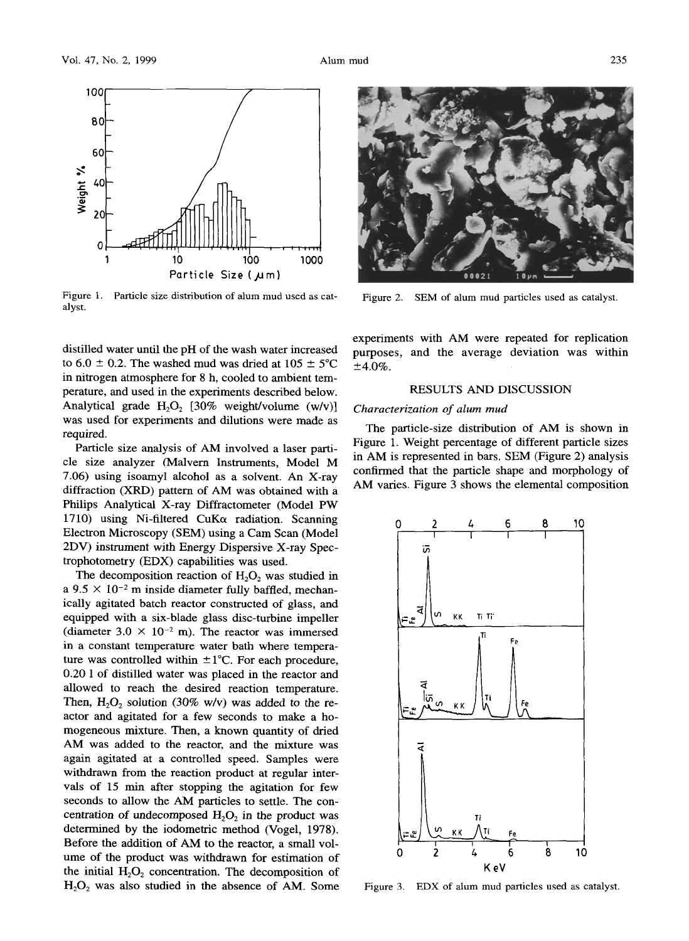

Figure 1. Particle size distribution of alum mud used as catalyst.

distilled water until the pH of the wash water increased to 6.0  $\pm$  0.2. The washed mud was dried at 105  $\pm$  5°C in nitrogen atmosphere for 8 h, cooled to ambient temperature, and used in the experiments described below. Analytical grade  $H_2O_2$  [30% weight/volume (w/v)] was used for experiments and dilutions were made as required.

Particle size analysis of AM involved a laser particle size analyzer (Malvern Instruments, Model M 7.06) using isoamyl alcohol as a solvent. An X-ray diffraction (XRD) pattern of AM was obtained with a Philips Analytical X-ray Diffractometer (Model PW 1710) using Ni-filtered CuK $\alpha$  radiation. Scanning Electron Microscopy (SEM) using a Cam Scan (Model 2DV) instrument with Energy Dispersive X-ray Spectrophotometry (EDX) capabilities was used.

The decomposition reaction of  $H_2O_2$  was studied in a  $9.5 \times 10^{-2}$  m inside diameter fully baffled, mechanically agitated batch reactor constructed of glass, and equipped with a six-blade glass disc-turbine impeller (diameter  $3.0 \times 10^{-2}$  m). The reactor was immersed in a constant temperature water bath where temperature was controlled within  $\pm 1^{\circ}$ C. For each procedure, 0.20 1 of distilled water was placed in the reactor and allowed to reach the desired reaction temperature. Then,  $H_2O_2$  solution (30% w/v) was added to the reactor and agitated for a few seconds to make a homogeneous mixture. Then, a known quantity of dried AM was added to the reactor, and the mixture was again agitated at a controlled speed. Samples were withdrawn from the reaction product at regular intervals of 15 min after stopping the agitation for few seconds to allow the AM particles to settle. The concentration of undecomposed  $H_2O_2$  in the product was determined by the iodometric method (Vogel, 1978). Before the addition of AM to the reactor, a small volume of the product was withdrawn for estimation of the initial  $H_2O_2$  concentration. The decomposition of  $H<sub>2</sub>O<sub>2</sub>$  was also studied in the absence of AM. Some



Figure 2. SEM of alum mud particles used as catalyst.

experiments with AM were repeated for replication purposes, and the average deviation was within  $±4.0\%$ .

#### RESULTS AND DISCUSSION

### *Characterization of alum mud*

The particle-size distribution of AM is shown in Figure 1. Weight percentage of different particle sizes in AM is represented in bars. SEM (Figure 2) analysis confirmed that the particle shape and morphology of AM varies. Figure 3 shows the elemental composition



Figure 3. EDX of alum mud particles used as catalyst.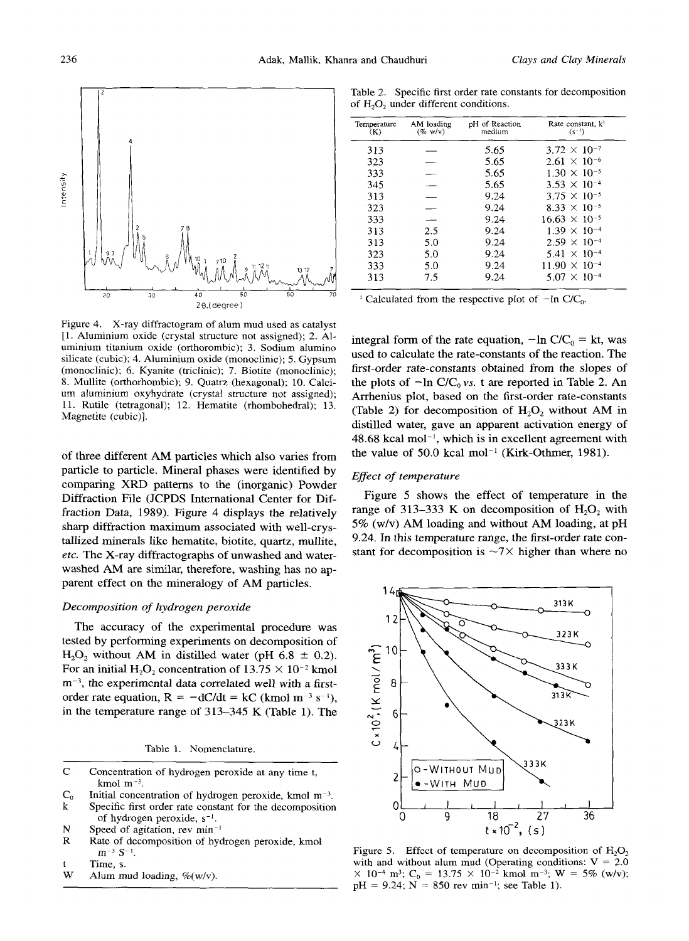

Figure 4. X-ray diffractogram of alum mud used as catalyst [1. Aluminium oxide (crystal structure not assigned); 2. A1 uminium titanium oxide (orthorombic); 3. Sodium alumino silicate (cubic); 4. Aluminium oxide (monoclinic); 5. Gypsum (monoclinic); 6. Kyanite (triclinic); 7. Biotite (monoclinic); 8. Mullite (orthorhombic); 9. Quatrz (hexagonal); 10. Calcium aluminium oxyhydrate (crystal structure not assigned); 11. Rutile (tetragonal); 12. Hematite (rhombohedral); 13. Magnetite (cubic)].

of three different AM particles which also varies from particle to particle. Mineral phases were identified by comparing XRD patterns to the (inorganic) Powder Diffraction File (JCPDS International Center for Diffraction Data, 1989). Figure 4 displays the relatively sharp diffraction maximum associated with well-crystallized minerals like hematite, biotite, quartz, mullite, *etc.* The X-ray diffractographs of unwashed and waterwashed AM are similar, therefore, washing has no apparent effect on the mineralogy of AM particles.

#### *Decomposition of hydrogen peroxide*

The accuracy of the experimental procedure was tested by performing experiments on decomposition of  $H<sub>2</sub>O<sub>2</sub>$  without AM in distilled water (pH 6.8  $\pm$  0.2). For an initial  $H_2O_2$  concentration of  $13.75 \times 10^{-2}$  kmol  $m<sup>-3</sup>$ , the experimental data correlated well with a firstorder rate equation,  $R = -dC/dt = kC$  (kmol m<sup>-3</sup> s<sup>-1</sup>), in the temperature range of 313-345 K (Table 1). The

Table 1. Nomenclature.

- C Concentration of hydrogen peroxide at any time t, kmol m<sup>-3</sup>.
- $C_0$  Initial concentration of hydrogen peroxide, kmol m<sup>-3</sup>.
- k Specific first order rate constant for the decomposition of hydrogen peroxide,  $s^{-1}$ .
- N Speed of agitation, rev  $min^{-1}$ <br>R Rate of decomposition of hyd
- Rate of decomposition of hydrogen peroxide, kmol  $m^{-3}$  S<sup>-1</sup>.
- t Time, s.<br>W Alum m
- Alum mud loading,  $\%(\text{w/v})$ .

Table 2. Specific first order rate constants for decomposition of  $H_2O_2$  under different conditions.

| Temperature<br>(K) | AM loading<br>$(\% w/v)$ | pH of Reaction<br>medium | Rate constant, k <sup>1</sup><br>$(s^{-1})$ |
|--------------------|--------------------------|--------------------------|---------------------------------------------|
| 313                |                          | 5.65                     | $3.72 \times 10^{-7}$                       |
| 323                |                          | 5.65                     | $2.61 \times 10^{-6}$                       |
| 333                |                          | 5.65                     | $1.30 \times 10^{-5}$                       |
| 345                |                          | 5.65                     | $3.53 \times 10^{-4}$                       |
| 313                |                          | 9.24                     | $3.75 \times 10^{-5}$                       |
| 323                |                          | 9.24                     | $8.33 \times 10^{-5}$                       |
| 333                |                          | 9.24                     | $16.63 \times 10^{-5}$                      |
| 313                | 2.5                      | 9.24                     | $1.39 \times 10^{-4}$                       |
| 313                | 5.0                      | 9.24                     | $2.59 \times 10^{-4}$                       |
| 323                | 5.0                      | 9.24                     | $5.41 \times 10^{-4}$                       |
| 333                | 5.0                      | 9.24                     | $11.90\times10^{-4}$                        |
| 313                | 7.5                      | 9.24                     | $5.07 \times 10^{-4}$                       |

<sup>1</sup> Calculated from the respective plot of  $-$ In C/C<sub>0</sub>.

integral form of the rate equation,  $-\ln C/C_0 = k t$ , was used to calculate the rate-constants of the reaction. The first-order rate-constants obtained from the slopes of the plots of  $-\ln C/C_0$  *vs.* t are reported in Table 2. An Arrhenius plot, based on the first-order rate-constants (Table 2) for decomposition of  $H_2O_2$  without AM in distilled water, gave an apparent activation energy of  $48.68$  kcal mol<sup>-1</sup>, which is in excellent agreement with the value of 50.0 kcal mol<sup>-1</sup> (Kirk-Othmer, 1981).

## *Effect of temperature*

Figure 5 shows the effect of temperature in the range of 313–333 K on decomposition of  $H_2O_2$  with 5% (w/v) AM loading and without AM loading, at pH 9.24. In this temperature range, the first-order rate constant for decomposition is  $\sim$ 7 $\times$  higher than where no



Figure 5. Effect of temperature on decomposition of  $H_2O_2$ with and without alum mud (Operating conditions:  $V = 2.0$  $\times$  10<sup>-4</sup> m<sup>3</sup>; C<sub>0</sub> = 13.75  $\times$  10<sup>-2</sup> kmol m<sup>-3</sup>; W = 5% (w/v);  $pH = 9.24$ ; N = 850 rev min<sup>-1</sup>; see Table 1).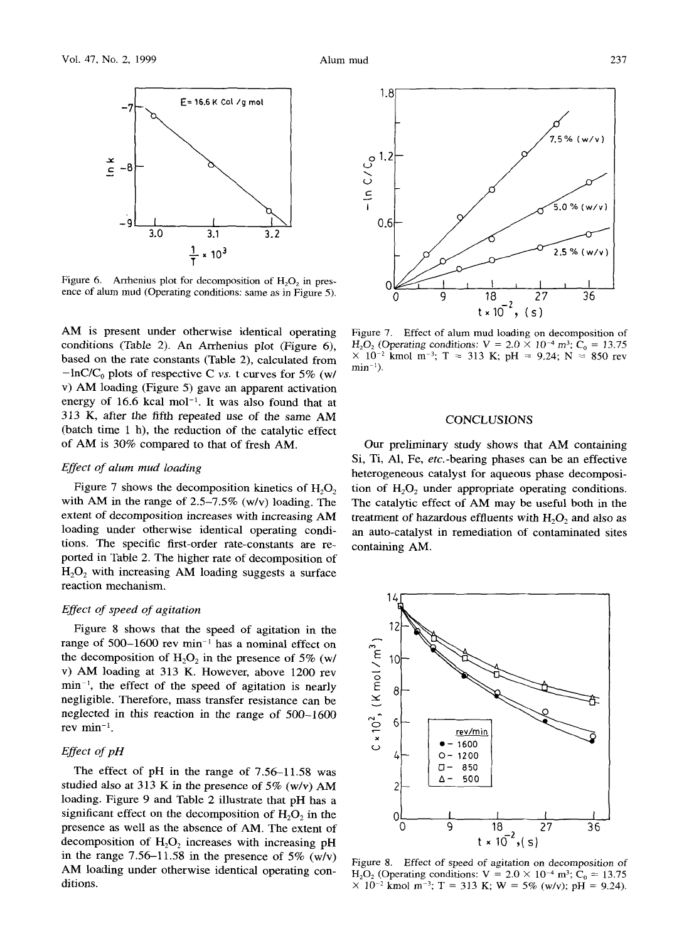

Figure 6. Arrhenius plot for decomposition of  $H_2O_2$  in presence of alum mud (Operating conditions: same as in Figure 5).

AM is present under otherwise identical operating conditions (Table 2). An Arrhenius plot (Figure 6), based on the rate constants (Table 2), calculated from  $-\ln\text{C/C}_0$  plots of respective C *vs.* t curves for 5% (w/ v) AM loading (Figure 5) gave an apparent activation energy of  $16.6$  kcal mol<sup>-1</sup>. It was also found that at 313 K, after the fifth repeated use of the same AM (batch time 1 h), the reduction of the catalytic effect of AM is 30% compared to that of fresh AM.

## *Effect of alum mud loading*

Figure 7 shows the decomposition kinetics of  $H_2O_2$ with AM in the range of  $2.5-7.5\%$  (w/v) loading. The extent of decomposition increases with increasing *AM*  loading under otherwise identical operating conditions. The specific first-order rate-constants are reported in Table 2. The higher rate of decomposition of  $H<sub>2</sub>O<sub>2</sub>$  with increasing AM loading suggests a surface reaction mechanism.

#### *Effect of speed of agitation*

Figure 8 shows that the speed of agitation in the range of 500-1600 rev min<sup>-1</sup> has a nominal effect on the decomposition of  $H_2O_2$  in the presence of 5% (w/ v) AM loading at 313 K. However, above 1200 rev  $min^{-1}$ , the effect of the speed of agitation is nearly negligible. Therefore, mass transfer resistance can be neglected in this reaction in the range of 500-1600 rev  $\min^{-1}$ .

## *Effect of pH*

The effect of pH in the range of 7.56-11.58 was studied also at 313 K in the presence of 5% (w/v) AM loading. Figure 9 and Table 2 illustrate that pH has a significant effect on the decomposition of  $H<sub>2</sub>O<sub>2</sub>$  in the presence as well as the absence of AM. The extent of decomposition of  $H_2O_2$  increases with increasing pH in the range  $7.56-11.58$  in the presence of  $5\%$  (w/v) AM loading under otherwise identical operating conditions.



Figure 7. Effect of alum mud loading on decomposition of  $H_2O_2$  (Operating conditions:  $V = 2.0 \times 10^{-4}$  m<sup>3</sup>;  $C_0 = 13.75$  $\times$  10<sup>-2</sup> kmol m<sup>-3</sup>; T = 313 K; pH = 9.24; N = 850 rev  $min^{-1}$ ).

#### **CONCLUSIONS**

Our preliminary study shows that AM containing Si, Ti, A1, Fe, *etc.-bearing* phases can be an effective heterogeneous catalyst for aqueous phase decomposition of  $H_2O_2$  under appropriate operating conditions. The catalytic effect of AM may be useful both in the treatment of hazardous effluents with  $H<sub>2</sub>O<sub>2</sub>$  and also as an auto-catalyst in remediation of contaminated sites containing AM.



Figure 8. *Effect* of speed of agitation on *decomposition* of  $H_2O_2$  (Operating conditions:  $V = 2.0 \times 10^{-4}$  m<sup>3</sup>;  $C_0 = 13.75$  $\times$  10<sup>-2</sup> kmol m<sup>-3</sup>; T = 313 K; W = 5% (w/v); pH = 9.24).